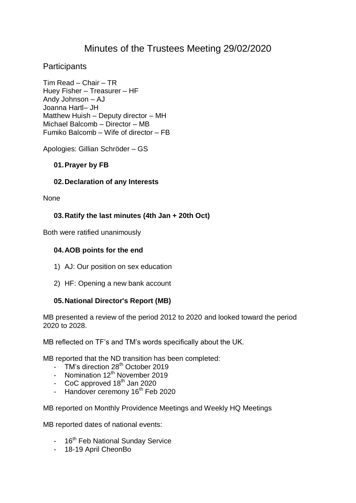# Minutes of the Trustees Meeting 29/02/2020

# **Participants**

Tim Read – Chair – TR Huey Fisher – Treasurer – HF Andy Johnson – AJ Joanna Hartl– JH Matthew Huish – Deputy director – MH Michael Balcomb – Director – MB Fumiko Balcomb – Wife of director – FB

Apologies: Gillian Schröder – GS

## **01.Prayer by FB**

## **02.Declaration of any Interests**

**None** 

# **03.Ratify the last minutes (4th Jan + 20th Oct)**

Both were ratified unanimously

#### **04.AOB points for the end**

- 1) AJ: Our position on sex education
- 2) HF: Opening a new bank account

#### **05.National Director's Report (MB)**

MB presented a review of the period 2012 to 2020 and looked toward the period 2020 to 2028.

MB reflected on TF's and TM's words specifically about the UK.

MB reported that the ND transition has been completed:

- TM's direction 28<sup>th</sup> October 2019
- Nomination 12<sup>th</sup> November 2019
- $CoC$  approved  $18<sup>th</sup>$  Jan 2020
- Handover ceremony 16<sup>th</sup> Feb 2020

MB reported on Monthly Providence Meetings and Weekly HQ Meetings

MB reported dates of national events:

- 16<sup>th</sup> Feb National Sunday Service
- 18-19 April CheonBo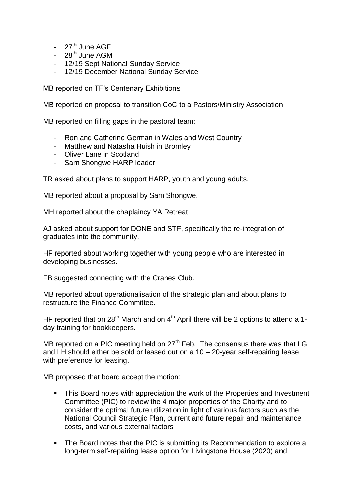- 27<sup>th</sup> June AGF
- $-28^{th}$  June AGM
- 12/19 Sept National Sunday Service
- 12/19 December National Sunday Service

MB reported on TF's Centenary Exhibitions

MB reported on proposal to transition CoC to a Pastors/Ministry Association

MB reported on filling gaps in the pastoral team:

- Ron and Catherine German in Wales and West Country
- Matthew and Natasha Huish in Bromley
- Oliver Lane in Scotland
- Sam Shongwe HARP leader

TR asked about plans to support HARP, youth and young adults.

MB reported about a proposal by Sam Shongwe.

MH reported about the chaplaincy YA Retreat

AJ asked about support for DONE and STF, specifically the re-integration of graduates into the community.

HF reported about working together with young people who are interested in developing businesses.

FB suggested connecting with the Cranes Club.

MB reported about operationalisation of the strategic plan and about plans to restructure the Finance Committee.

HF reported that on  $28<sup>th</sup>$  March and on  $4<sup>th</sup>$  April there will be 2 options to attend a 1day training for bookkeepers.

MB reported on a PIC meeting held on  $27<sup>th</sup>$  Feb. The consensus there was that LG and LH should either be sold or leased out on a 10 – 20-year self-repairing lease with preference for leasing.

MB proposed that board accept the motion:

- This Board notes with appreciation the work of the Properties and Investment Committee (PIC) to review the 4 major properties of the Charity and to consider the optimal future utilization in light of various factors such as the National Council Strategic Plan, current and future repair and maintenance costs, and various external factors
- The Board notes that the PIC is submitting its Recommendation to explore a long-term self-repairing lease option for Livingstone House (2020) and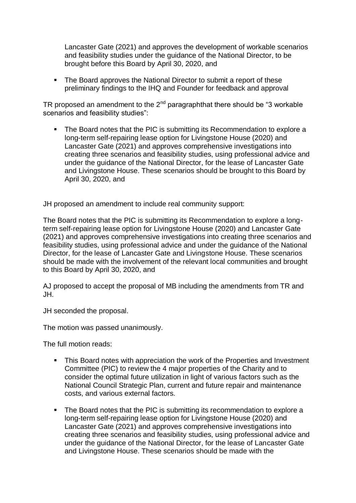Lancaster Gate (2021) and approves the development of workable scenarios and feasibility studies under the guidance of the National Director, to be brought before this Board by April 30, 2020, and

• The Board approves the National Director to submit a report of these preliminary findings to the IHQ and Founder for feedback and approval

TR proposed an amendment to the  $2<sup>nd</sup>$  paragraphthat there should be "3 workable scenarios and feasibility studies":

 The Board notes that the PIC is submitting its Recommendation to explore a long-term self-repairing lease option for Livingstone House (2020) and Lancaster Gate (2021) and approves comprehensive investigations into creating three scenarios and feasibility studies, using professional advice and under the guidance of the National Director, for the lease of Lancaster Gate and Livingstone House. These scenarios should be brought to this Board by April 30, 2020, and

JH proposed an amendment to include real community support:

The Board notes that the PIC is submitting its Recommendation to explore a longterm self-repairing lease option for Livingstone House (2020) and Lancaster Gate (2021) and approves comprehensive investigations into creating three scenarios and feasibility studies, using professional advice and under the guidance of the National Director, for the lease of Lancaster Gate and Livingstone House. These scenarios should be made with the involvement of the relevant local communities and brought to this Board by April 30, 2020, and

AJ proposed to accept the proposal of MB including the amendments from TR and JH.

JH seconded the proposal.

The motion was passed unanimously.

The full motion reads:

- This Board notes with appreciation the work of the Properties and Investment Committee (PIC) to review the 4 major properties of the Charity and to consider the optimal future utilization in light of various factors such as the National Council Strategic Plan, current and future repair and maintenance costs, and various external factors.
- The Board notes that the PIC is submitting its recommendation to explore a long-term self-repairing lease option for Livingstone House (2020) and Lancaster Gate (2021) and approves comprehensive investigations into creating three scenarios and feasibility studies, using professional advice and under the guidance of the National Director, for the lease of Lancaster Gate and Livingstone House. These scenarios should be made with the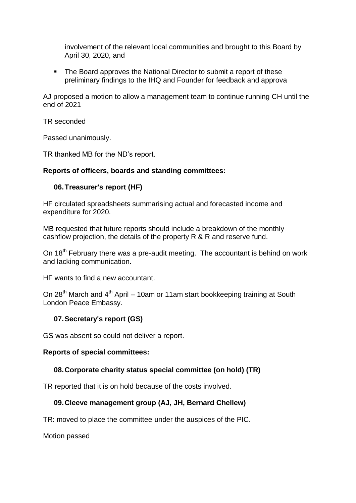involvement of the relevant local communities and brought to this Board by April 30, 2020, and

• The Board approves the National Director to submit a report of these preliminary findings to the IHQ and Founder for feedback and approva

AJ proposed a motion to allow a management team to continue running CH until the end of 2021

TR seconded

Passed unanimously.

TR thanked MB for the ND's report.

## **Reports of officers, boards and standing committees:**

## **06.Treasurer's report (HF)**

HF circulated spreadsheets summarising actual and forecasted income and expenditure for 2020.

MB requested that future reports should include a breakdown of the monthly cashflow projection, the details of the property R & R and reserve fund.

On 18<sup>th</sup> February there was a pre-audit meeting. The accountant is behind on work and lacking communication.

HF wants to find a new accountant.

On 28<sup>th</sup> March and  $4<sup>th</sup>$  April – 10am or 11am start bookkeeping training at South London Peace Embassy.

# **07.Secretary's report (GS)**

GS was absent so could not deliver a report.

#### **Reports of special committees:**

#### **08.Corporate charity status special committee (on hold) (TR)**

TR reported that it is on hold because of the costs involved.

# **09.Cleeve management group (AJ, JH, Bernard Chellew)**

TR: moved to place the committee under the auspices of the PIC.

Motion passed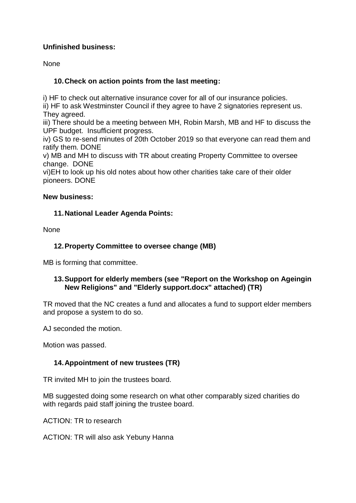# **Unfinished business:**

**None** 

# **10.Check on action points from the last meeting:**

i) HF to check out alternative insurance cover for all of our insurance policies.

ii) HF to ask Westminster Council if they agree to have 2 signatories represent us. They agreed.

iii) There should be a meeting between MH, Robin Marsh, MB and HF to discuss the UPF budget. Insufficient progress.

iv) GS to re-send minutes of 20th October 2019 so that everyone can read them and ratify them. DONE

v) MB and MH to discuss with TR about creating Property Committee to oversee change. DONE

vi)EH to look up his old notes about how other charities take care of their older pioneers. DONE

#### **New business:**

# **11.National Leader Agenda Points:**

None

# **12.Property Committee to oversee change (MB)**

MB is forming that committee.

## **13.Support for elderly members (see "Report on the Workshop on Ageingin New Religions" and "Elderly support.docx" attached) (TR)**

TR moved that the NC creates a fund and allocates a fund to support elder members and propose a system to do so.

AJ seconded the motion.

Motion was passed.

# **14.Appointment of new trustees (TR)**

TR invited MH to join the trustees board.

MB suggested doing some research on what other comparably sized charities do with regards paid staff joining the trustee board.

ACTION: TR to research

ACTION: TR will also ask Yebuny Hanna